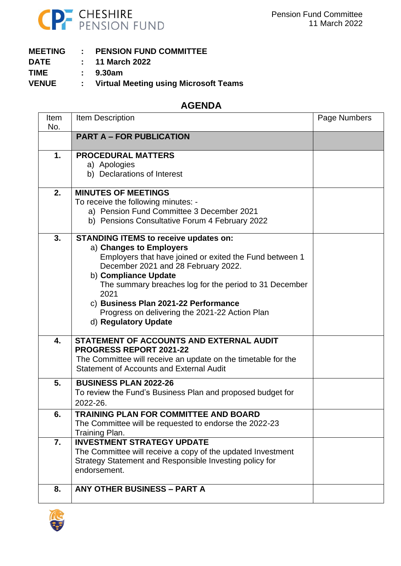

| <b>PENSION FUND COMMITTEE</b><br><b>MEETING</b> |
|-------------------------------------------------|
|-------------------------------------------------|

- **DATE : 11 March 2022**
- **TIME : 9.30am**
- **VENUE : Virtual Meeting using Microsoft Teams**

## **AGENDA**

| Item<br>No. | Item Description                                                                                                                                                                                                                                                                                                                                                                      | Page Numbers |
|-------------|---------------------------------------------------------------------------------------------------------------------------------------------------------------------------------------------------------------------------------------------------------------------------------------------------------------------------------------------------------------------------------------|--------------|
|             | <b>PART A - FOR PUBLICATION</b>                                                                                                                                                                                                                                                                                                                                                       |              |
| 1.          | <b>PROCEDURAL MATTERS</b><br>a) Apologies<br>b) Declarations of Interest                                                                                                                                                                                                                                                                                                              |              |
| 2.          | <b>MINUTES OF MEETINGS</b><br>To receive the following minutes: -<br>a) Pension Fund Committee 3 December 2021<br>b) Pensions Consultative Forum 4 February 2022                                                                                                                                                                                                                      |              |
| 3.          | <b>STANDING ITEMS to receive updates on:</b><br>a) Changes to Employers<br>Employers that have joined or exited the Fund between 1<br>December 2021 and 28 February 2022.<br>b) Compliance Update<br>The summary breaches log for the period to 31 December<br>2021<br>c) Business Plan 2021-22 Performance<br>Progress on delivering the 2021-22 Action Plan<br>d) Regulatory Update |              |
| 4.          | <b>STATEMENT OF ACCOUNTS AND EXTERNAL AUDIT</b><br><b>PROGRESS REPORT 2021-22</b><br>The Committee will receive an update on the timetable for the<br><b>Statement of Accounts and External Audit</b>                                                                                                                                                                                 |              |
| 5.          | <b>BUSINESS PLAN 2022-26</b><br>To review the Fund's Business Plan and proposed budget for<br>2022-26.                                                                                                                                                                                                                                                                                |              |
| 6.          | <b>TRAINING PLAN FOR COMMITTEE AND BOARD</b><br>The Committee will be requested to endorse the 2022-23<br>Training Plan.                                                                                                                                                                                                                                                              |              |
| 7.          | <b>INVESTMENT STRATEGY UPDATE</b><br>The Committee will receive a copy of the updated Investment<br>Strategy Statement and Responsible Investing policy for<br>endorsement.                                                                                                                                                                                                           |              |
| 8.          | <b>ANY OTHER BUSINESS - PART A</b>                                                                                                                                                                                                                                                                                                                                                    |              |